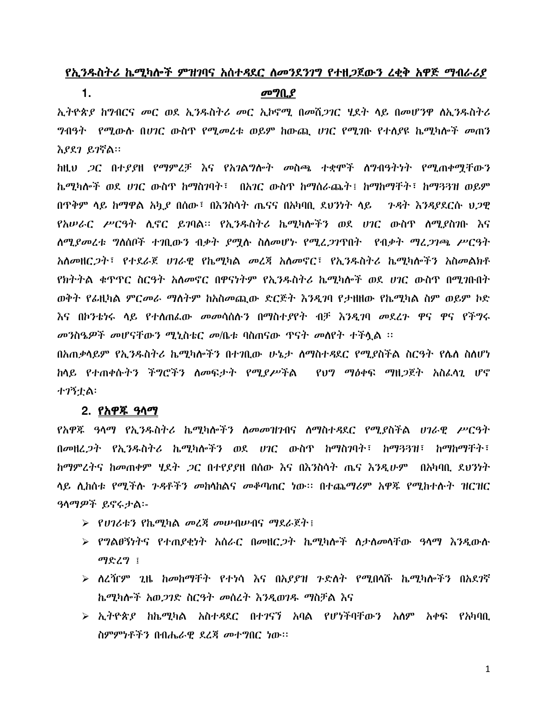# የኢንዱስትሪ ኬሚካሎች ምዝንባና አሰተዳደር ለመንደንገግ የተዘጋጀውን ረቂቅ አዋጅ ማብራሪያ

### $\mathbf 1$ .

### መግቢያ

ኢትዮጵያ ከግብርና መር ወደ ኢንዱስትሪ መር ኢኮኖሚ በመሽጋገር ሂደት ላይ በመሆንዋ ስኢንዱስትሪ ግብዓት የሚውሱ በሀገር ውስጥ የሚመረቱ ወይም ከውጪ ሀገር የሚገቡ የተሰያዩ ኬሚካሎች መጠን እያደገ ይገኛል።

ከዚህ ጋር በተያያዘ የማምረቻ እና የአገልግሎት መስጫ ተቋሞች ስግብዓትነት የሚጠቀሟቸውን ኬሚካሎች ወደ ሀገር ውስጥ ከማስገባት፣ በአገር ውስጥ ከማስራጨት፤ ከማከማቸት፣ ከማጓጓዝ ወይም በዋቅም ላይ ከማዋል አኳ*ያ* በሰው፣ በእንስሳት ጤናና በአካባቢ ደህንነት ላይ *ጉዳት እንዳያ*ደርሱ ሀ*ጋ*ዊ *የአሠራር ሥርዓት ሲኖር ይገ*ባል። የኢ*ንዱ*ስትሪ ኬሚካሎችን ወደ *ሀገ*ር ውስጥ ሰሚያስንቡ እና ለሚያመረቱ ግለሰቦች ተገቢውን ብቃት ያማሉ ስለመሆኑ የሚረጋገጥበት "የብቃት ማረጋገጫ ሥርዓት *አስመ*ዘር*ጋት* ፣ የተደራጀ *ሀገራዊ የ*ኬሚካል *መ*ረጃ አስመኖር ፣የኢንዱስትሪ ኬሚካሎችን አስመልክቶ የክትትል ቁጥዋር ስርዓት አለመኖር በዋናነትም የኢንዱስትሪ ኬሚካሎች ወደ ሀገር ውስጥ በሚገቡበት ወቅት የፊዚካል ምርመራ ማስትም ከአስመጪው ድርጅት እንዲገባ የታዘዘው የኬሚካል ስም ወይም ኮድ እና በኮንቴነሩ ላይ የተሰጠራው መመሳሰሉን በማስተያየት ብቻ እንዲገባ መደረጉ ዋና ዋና የችግሩ መንስዔዎች መሆናቸውን ሚኒስቴር መ/ቤቱ ባስጠናው ጥናት መሰየት ተችሏል ፡፡

በአጠቃሳይም የኢንዱስትሪ ኬሚካሎችን በተገቢው ሁኔታ ስማስተዳደር የሚያስችል ስርዓት የሌስ ስለሆነ <u>ከላይ የተጠቀሱትን ችግሮችን ስመፍታት የሚደሥችል የህግ ማዕቀፍ ማዘ*ጋ*ጀት አስፈላጊ ሆኖ</u> **ナフኝナል:** 

### 2. የ**አዋ**ጁ ዓላማ

የአዋጁ ዓላማ የኢንዱስትሪ ኬሚካሎችን ለመመዝንብና ለማስተዳደር የሚያስችል ሀገራዊ ሥርዓት በመዘረ*ጋት* የኢንዱስትሪ ኬሚካሎችን ወደ ሀገር ውስጥ ከማስገባት፣ ከማን3ዝ፣ ከማከማቸት፣ *ከማምረትና ከመ*ጠቀም ሂደት *ጋ*ር በተየደደዘ በሰው እና በእንስሳት ጤና እንዲሁም በአካባቢ ደህንነት ላይ ሲከስቱ የሚችሉ ንዳቶችን መከሳከልና መቆጣጠር ነው፡፡ በተጨማሪም አዋጁ የሚከተሉት ዝርዝር ዓላማዎች ይኖሩታል፡-

- > የሀገሪቱን የኬሚካል መረጃ መሠብሠብና ማደራጀት !
- ➢ የግልፀኝነትና የተጠያቂነት አስራር በመዘር*ጋ*ት ኬሚካሎች ስታስመሳቸው ዓሳማ እንዲውስ ማድረግ ፤
- ➢ ለረዥም ጊዜ ከመከማቸት የተነሳ እና በአደደዝ ንድለት የሚበላሹ ኬሚካሎችን በአደንኛ ኬሚካሎች አወ*ጋገ*ድ ስርዓት መሰረት እንዲወገዱ ማስቻል እና
- $\triangleright$  ኢትዮጵያ ከኬሚካል አስተዳደር በተንናኘ አባል የሆነችባቸውን አለም አቀፍ የአካባቢ ስምምነቶችን በብሔራዊ ደረጃ መተግበር ነው።

 $\mathbf{1}$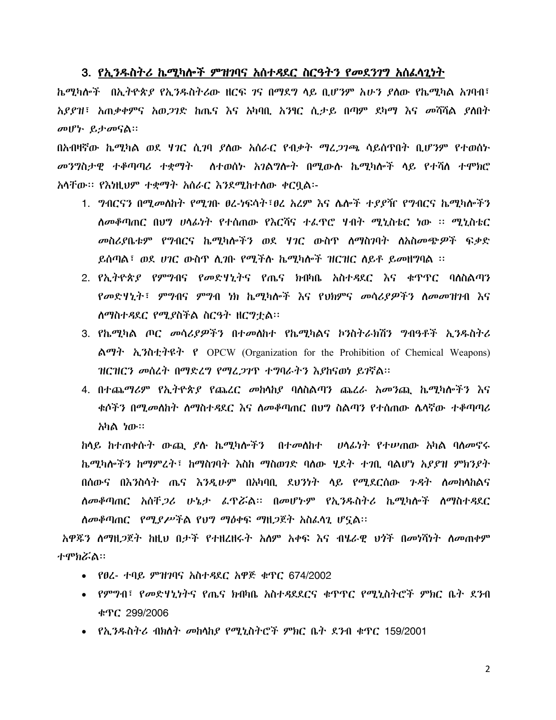# 3. <u>የኢንዱስትሪ ኬሚካሎች ምዝባባና አሰተዳደር ስርዓትን የመደንገግ አሰፌሳጊነት</u>

 
 2-,-( - t 2% 56 +7 p ( C &O አያያዝ፣ አጠቃቀምና አወ*ጋገ*ድ ከጤና እና አካባቢ አንፃር ሲታይ በጣም ደካማ እና መሻሻል ያሰበት መሆኑ ይታመናል።

በአብዛኛው ኬሚካል ወደ ሃ*ገ*ር ሲ*ገ*ባ *ያ*ለው አሰራር የብቃት ማፈ*ጋገጫ* ሳይሰጥበት ቢሆንም የተወሰኑ *መንግ*ስታዊ ተቆጣጣሪ ተቋማት - ስተወሰኑ አገልግሎት በሚውሱ ኬሚካሎች ላይ የተሻለ ተሞክሮ አላቸው፡፡ የእነዚህም ተቋማት አሰራር እንደሚከተለው ቀርቧል፡-

- 1. ግብርናን በሚመለከት የሚገቡ ፀረ-ነፍሳት፣ፀረ አረም እና ሌሎች ተያያዥ የግብርና ኬሚካሎችን ስመቆጣጠር በሀግ ሀላፊነት የተሰጠው የእርሻና ተራጥሮ ሃብት ሚኒስቴር ነው ፡፡ ሚኒስቴር መስሪያቤቱም የግብርና ኬሚካሎችን ወደ ሃገር ውስጥ ስማስገባት ለአስመጭዎች ፍቃድ ይሰጣል፣ ወደ ሀገር ውስጥ ሲገቡ የሚችሱ ኬሚካሎች ዝርዝር ለይቶ ይመዘግባል ፡፡
- 2. የኢትዮጵያ የምግብና የመድሃኒትና የጤና ክብካቤ አስተዳደር እና ቁጥጥር ባለስልጣን የመድሃኒት፣ ምግብና ምግብ ነክ ኬሚካሎች እና የህክምና መሳሪ*ያዎ*ችን ስመመዝገብ እና ለማስተዳደር የሚያስችል ስርዓት ዘርግቷል፡፡
- 3. የኬሚካል ጦር መሳሪያዎችን በተመለከተ የኬሚካልና ኮንስትራክሽን ግብዓቶች ኢንዱስትሪ ልማት ኢንስቲተዩት የ OPCW (Organization for the Prohibition of Chemical Weapons)  $HCHC$ ን መስረት በማድረግ የማረ*ጋገ*ጥ ተግባራትን እያከናወነ ይገኛል፡፡
- 4. በተጨማሪም የኢትዮጵያ የጨረር መከሳከያ ባለስልጣን ጨረራ አመንጪ ኬሚካሎችን እና ቁሶችን በሚ*መ*ስስት ስማስተዳደር እና ስመቆጣጠር በሀግ ስልጣን የተሰጠው ሴሳኛው ተቆጣጣሪ <sup>.</sup> አካል ነው።

ከላይ ከተጠቀሱት ውጪ *ያ*ሱ ኬሚካሎችን በተመለከተ ሀላፊነት የተሠጠው አካል ባለመኖሩ ኬሚካሎችን ከማምረት፣ ከማስገባት እስከ ማስወገድ ባለው ሂደት ተገቢ ባልሆነ አ*ያያዝ ምክንያት* በሰውና በእንስሳት ጤና እንዲሁም በአካባቢ ደህንነት ላይ የሚደርሰው *ጉዳ*ት ለመከላከልና ስመቆጣጠር አሰቸ*ጋሪ* ሁኔታ ፌዋሯል፡፡ በመሆኑም የኢንዱስትሪ ኬሚካሎች ስማስተዳደር {|@ (Z
C F %uLt % i5v 7CDD

አዋጁን ለማዘ*ጋ*ጀት ከዚህ በታች የተዘረዘሩት አለም አቀፍ እና ብሄራዊ ህጎች በመነሻነት ለመጠቀም ተምክሯል።

- ~ 6 #\$ b; 674/2002
- የምግብ፣ የመድዛኒነትና የጤና ክብካቤ አስተዳደደርና ቁጥጥር የሚኒስትሮች ምክር ቤት ደንብ b; 299/2006
- የኢንዱስትሪ ብክለት መከላከያ የሚኒስትሮች ምክር ቤት ደንብ ቁጥር 159/2001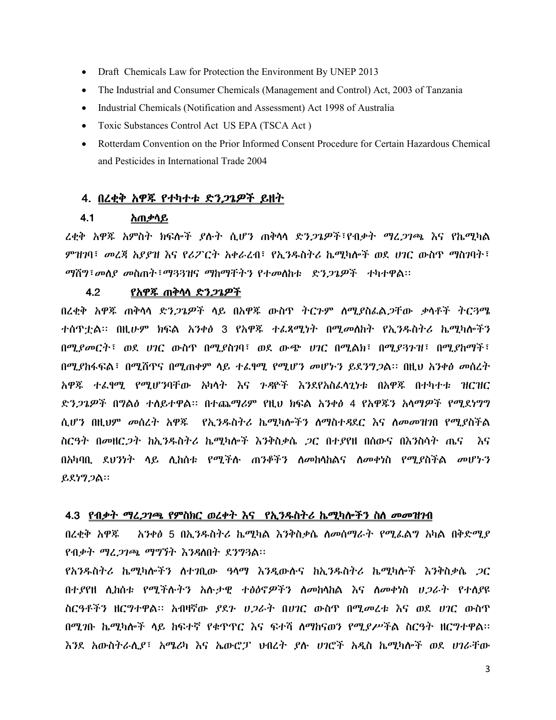- Draft Chemicals Law for Protection the Environment By UNEP 2013  $\bullet$
- The Industrial and Consumer Chemicals (Management and Control) Act, 2003 of Tanzania  $\bullet$
- Industrial Chemicals (Notification and Assessment) Act 1998 of Australia
- $\bullet$ Toxic Substances Control Act US EPA (TSCA Act)
- Rotterdam Convention on the Prior Informed Consent Procedure for Certain Hazardous Chemical and Pesticides in International Trade 2004

## 4. በረቂቅ አዋጁ የተካተቱ ድን*ጋጌዎች ይ*ዘት

#### $4.1$ <u>አጠቃሳይ</u>

ረቂቅ አዋጁ አምስት ክፍሎች ያሉት ሲሆን ጠቅሳሳ ድን*ጋጌዎች*፣የብቃት *ማረጋገጫ* እና የኬሚካል ምዝገባ፣ መረጃ አያያዝ እና የሪፖርት አቀራረብ፣ የኢንዱስትሪ ኬሚካሎች ወደ ሀገር ውስጥ ማስገባት፣ *ማ*ሽግ፣*መለያ መ*ስጠት፣ማ33ዝና ማከማቸትን የተመለከቱ ድን*ጋጌዎች* ተካተዋል።

#### $4.2$ <u>የአዋጁ ጠቅሳሳ ድን*ጋጌዎች*</u>

በረቂቅ አዋጁ ጠቅሳሳ ድን*ጋጌዎች* ሳይ በአዋጁ ውስጥ ትርጉም ሰሚያስፌል*ጋ*ቸው ቃሳቶች ትርጓሜ ተሰዋቷል፡፡ በዚሁም ክፍል አንቀፅ 3 የአዋጁ ተፌጻሚነት በሚመስከት የኢንዱስትሪ ኬሚካሎችን በሚያመርት፣ ወደ ሀገር ውስዋ በሚያስገባ፣ ወደ ውጭ ሀገር በሚልክ፣ በሚያጓጉዝ፣ በሚያከማች፣ በሚያከፋፍል፣ በሚሸዋና በሚጠቀም ላይ ተፈፃሚ የሚሆን መሆኑን ይደንግጋል። በዚህ አንቀፅ መስረት አዋጁ ተፈፃሚ የሚሆንባቸው አካላት እና ንዳዮች እንደየአስፈላጊነቱ በአዋጁ በተካተቱ ዝርዝር ድን*ጋጌዎች* በ**ግልፅ ተ**ለይተዋል። በተጨማሪም የዚህ ክፍል አንቀፅ 4 የአዋ**ጁን አ**ላማ*ዎች የሚ*ደነግግ ሲሆን በዚህም መስረት አዋጁ የኢንዱስትሪ ኬሚካሎችን ለማስተዳደር እና ለመመዝንበ የሚያስችል ስርዓት በመዘር*ጋት* ከኢንዱስትሪ ኬሚካሎች እንቅስቃሴ *ጋ*ር በተያየዘ በሰውና በእንስሳት ጤና እና በአካባቢ ደህንነት ሳይ ሊከሰቱ የሚችሉ ጠንቆችን ስመከሳከልና ስመቀነስ የሚያስችል መሆኑን ይደነግ*ጋ*ል።

### 4.3 የብቃት ማረ*ጋገ*ጫ የምስክር ወረቀት እና የኢንዱስትሪ ኬሚካሎችን ስለ መመዝንብ

አንቀፅ 5 በኢንዱስትሪ ኬሚካል እንቅስቃሴ ስመሰማራት የሚፌልግ አካል በቅድሚያ በረቂቅ አዋጁ የብቃት ማረ*ጋገ*ጫ ማግኘት እንዳስበት ደንግጓል፡፡

የአንዱስትሪ ኬሚካሎችን ለተገቢው *ዓ*ሳማ እንዲውሱና ከኢንዱስትሪ ኬሚካሎች እንቅስቃሴ *ጋ*ር በተያየዘ ሊከሰቱ የሚችሉትን አሉታዊ ተፅዕኖዎችን ስመከላከል እና ስመቀነስ ሀ*ጋ*ራት የተለያዩ ስርዓቶችን ዘርግተዋል፡፡ አብዛኛው *ያ*ደን ሀ*ጋ*ራት በሀገር ውስጥ በሚመረቱ እና ወደ ሀገር ውስጥ በሚገቡ ኬሚካሎች ላይ ከፍተኛ የቁጥጥር እና ፍተሻ ለማከናወን የሚደሥችል ስርዓት ዘርግተዋል፡፡ እንደ አውስትራሲያ፣ አሜሪካ እና ኤውሮፓ ህብረት ያሉ ሀገሮች አዲስ ኬሚካሎች ወደ ሀገራቸው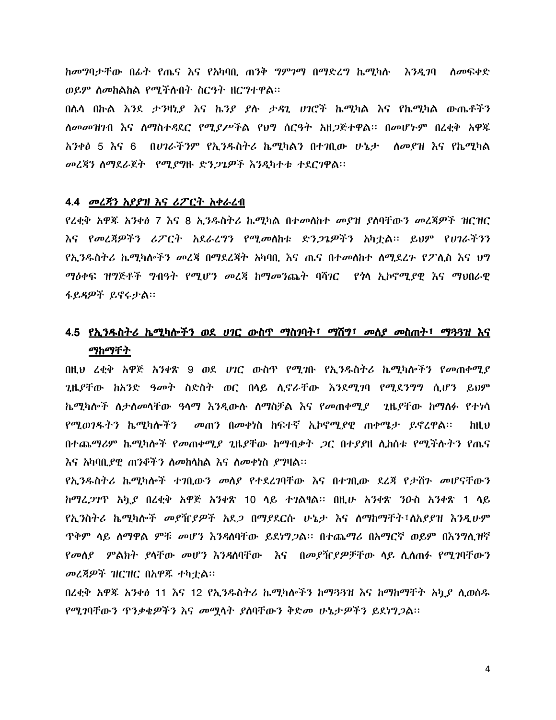*ከመግ*ባታቸው በፊት የጤና እና የአካባቢ ጠንቅ *ግምገግ* በማድረግ ኬሚካሉ እንዲገባ ለመፍቀድ ወይም ስመከልከል የሚችሉበት ስርዓት ዘርግተዋል፡፡

በሌላ በኩል እንደ ታንዛኒያ እና ኬንያ ያሉ ታዳጊ ሀገሮች ኬሚካል እና የኬሚካል ውጤቶችን ለመመዝንብ እና ለማስተዳደር የሚደሥችል የህግ ስርዓት አዘጋጅተዋል፡፡ በመሆኑም በረቂቅ አዋጁ አንቀፅ 5 እና 6 በሀገራችንም የኢንዱስትሪ ኬሚካልን በተገቢው ሁኔታ ለመያዝ እና የኬሚካል መረጃን ስማደራጀት የሚያግዙ ድን*ጋጌዎች እንዲ*ካተቱ ተደርገዋል፡፡

### 4.4 መረጃን አያያዝ እና ሪፖርት አቀራረብ

የረቂቅ አዋጁ አንቀፅ 7 እና 8 ኢንዱስትሪ ኬሚካል በተመለከተ መያዝ ያለባቸውን መረጃዎች ዝርዝር እና የመረጃዎችን ሪፖርት አደራረግን የሚመስከቱ ድንጋጌዎችን አካቷል። ይህም የሀገራችንን የኢንዱስትሪ ኬሚካሎችን መረጃ በማደረጃት አካባቢ እና ጤና በተመሰከተ ስሚደረጉ የፖሊስ እና ህግ ማዕቀፍ ዝግጅቶች ግብዓት የሚሆን መረጃ ከማመንጨት ባሻገር የጎሳ ኢኮኖሚያዊ እና ማህበራዊ ፋይዳዎች ይኖሩታል።

# 4.5 <u>የኢንዱስትሪ ኬሚካሎችን ወደ ሀገር ውስጥ ማስገባት፣ ማሽግ፣ መለያ መስጠት፣ ማጓጓዝ እና</u> ማከማቸት

በዚህ ረቂቅ አዋጅ አንቀጽ 9 ወደ ሀገር ውስጥ የሚገቡ የኢንዱስትሪ ኬሚካሎችን የመጠቀሚያ *ጊ*ዜ*ያቸው ከአንድ ዓመት ስድስት ወር በ*ላይ ሊኖራቸው *እን*ደሚ*ገ*ባ የሚደንግግ ሲሆን ይህም ኬሚካሎች ስታስመሳቸው ዓሳማ እንዲውሱ ስማስቻል እና የመጠቀሚያ \_ ጊዜያቸው ከማስፉ የተነሳ የሚወገዱትን ኬሚካሎችን - መጠን በመቀነስ ከፍተኛ ኢኮኖሚያዊ ጠቀሜታ ይኖረዋል፡፡  $h$ IL $v$ በተጨማሪም ኬሚካሎች የመጠቀሚደ ጊዜደቸው ከማብቃት *ጋ*ር በተደደዘ ሊከስቱ የሚችሉትን የጤና <u>እና አካባቢያዊ ጠንቆችን ስመከሳከል እና ስመቀነስ ያግዛል፡፡</u>

የኢንዱስትሪ ኬሚካሎች ተንቢውን መለያ የተደረንባቸው እና በተንቢው ደረጃ የታሸን መሆናቸውን *ከማረጋገ*ጥ አኳ*ይ* በረቂቅ አዋጅ አንቀጽ 10 ላይ ተገልፃል። በዚሁ አንቀጽ ንዑስ አንቀጽ 1 ላይ የኢንስትሪ ኬሚካሎች መያዥያዎች አደጋ በማያደርሱ ሁኔታ እና ለማከማቸት፣ለአያያዝ እንዲሁም <u>ዋቅም ላይ ለማዋል ምቹ መሆን እንዳለባቸው ይደነግጋል። በተጨማሪ በአማርኛ ወይም በእንግሊዝኛ</u> የመሰያ ምልክት ያላቸው መሆን እንዳስባቸው እና በመያዥያዎቻቸው ላይ ሲሰጠፉ የሚገባቸውን መረጃዎች ዝርዝር በአዋጁ ተካቷል።

በረቂቅ አዋጁ አንቀፅ 11 እና 12 የኢንዱስትሪ ኬሚካሎችን ከማጓጓዝ እና ከማከማቸት አካደ ሊወሰዱ የሚገባቸውን ዋንቃቄዎችን እና መሟላት ያለባቸውን ቅድመ ሁኔታዎችን ይደነግጋል።

4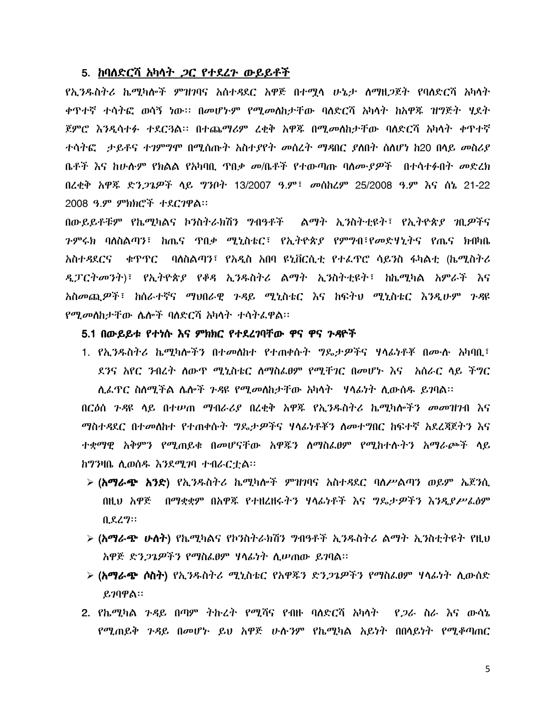### 5. ከባለድርሻ አካሳት *ጋ*ር የተደረጉ ውይይቶች

የኢንዱስትሪ ኬሚካሎች ምዝንባና አስተዳደር አዋጅ በተማሳ ሁኔታ ለማዘጋጀት የባለድርሻ አካሳት ቀጥተኛ ተሳትፎ ወሳኝ ነው። በመሆኑም የሚመለከታቸው ባለድርሻ አካላት ከአዋጁ ዝግጅት ሂደት ጀምሮ እንዲሳተፉ ተደር3ል፡፡ በተጨማሪም ረቂቅ አዋጁ በሚመስከታቸው ባለድርሻ አካሳት ቀጥተኛ ተሳትፎ ታይቶና ተንምግሞ በሚሰጡት አስተያየት መሰረት ማዳበር ያለበት ስለሆነ ከ20 በላይ መስሪያ ቤቶች እና ከሁሉም የክልል የአካባቢ ዋበቃ መ/ቤቶች የተውጣጡ ባለሙ*ያዎ*ች - በተሳተፉበት መድረክ በረቂቅ አዋጁ ድን*ጋጌዎች* ላይ ግንቦት 13/2007 ዓ.ም፣ *መ*ስከሪም 25/2008 ዓ.ም እና ሰኔ 21-22 2008 ዓ.ም ምክክሮች ተደርገዋል፡፡

በውይይቶቹም የኬሚካልና ኮንስትራክሽን ግብዓቶች – ልማት ኢንስትቲዩት፣ የኢትዮጵያ *ገ*ቢዎችና *ጉምሩክ* ባለስልጣን፣ ከጤና ዋበ*ቃ ሚኒ*ስቴር፣ የኢትዮጵ*ያ* የምግብ፣የመድሃኒትና የጤና ክብካቤ አስተዳደርና ቀጥዋር ባለስልጣን፣ የአዲስ አበባ ዩኒቨርሲቲ የተፌጥሮ ሳይንስ ፋካልቲ (ኬሚስትሪ *ዲፓርትመንት*)፣ የኢትዮጵ*ያ የቆዳ* ኢንዱስትሪ ልማት ኢንስትቲዩት፣ ከኬሚካል አምራች እና አስመጪዎች፣ ከሰራተኛና ማህበራዊ ጉዳይ ሚኒስቴር እና ከፍትህ ሚኒስቴር እንዲሁም ጉዳዩ *የሚመ*ለከታቸው ሌሎች ባለድርሻ አካላት ተሳትፌዋል።

### 5.1 በውይይቱ የተነሱ እና ምክክር የተደረገባቸው ዋና ዋና ጉዳዮች

1. የኢንዱስትሪ ኬሚካሎችን በተመለከተ የተጠቀሱት ግዴታዎችና ሃላፊነቶቾ በሙሉ አካባቢ፣ ደንና አየር ንብረት ስውዋ ሚኒስቴር ስማስፌፀም የሚቸገር በመሆኑ እና አስራር ላይ ችግር ሊፌዋር ስለሚችል ሌሎች *ጉዳ*ዩ የሚ*መ*ለከታቸው አካላት \_ ሃላፊነት ሊውሰዱ ይገባል።

በርዕስ ንዳዩ ሳይ በተሠጠ ማብራሪያ በረቂቅ አዋጁ የኢንዱስትሪ ኬሚካሎችን መመዝንብ እና *ማስተዳ*ደር በተመለከተ የተጠቀሱት *ግ*ዴታዎችና ሃላፊነቶቾን ስመተግበር ከፍተኛ አደረጃጀትን እና ተቋማዊ አቅምን የሚጠይቁ በመሆናቸው አዋጁን ስማስፌፀም የሚከተሱትን አማራጮች ሳይ ከግንዛቤ ሲወሰዱ እንደሚገባ ተብራርቷል፡፡

- **➢ (አማራጭ አንድ)** የኢንዱስትሪ ኬሚካሎች ምዝገባና አስተዳደር ባለሥልጣን ወይም ኤጀንሲ በዚህ አዋጅ - በማቋቋም በአዋጁ የተዘረዘሩትን ሃሳፊነቶች እና ግዴታዎችን እንዲያሥራፅም ቢደረግ።
- **> (አማራጭ ሁለት)** የኬሚካልና የኮንስትራክሽን ግብዓቶች ኢንዱስትሪ ልማት ኢንስቲትዩት የዚህ አዋጅ ድን*ጋጌዎችን የማስፌፀም ዛላፊነት ሲ*ሥጠው ይገባል።
- *➢ (አማራጭ ሶስት*) የኢንዱስትሪ ሚኒስቴር የአዋጁን ድን*ጋጌዎችን የማ*ስፌፀም ሃላፊነት ሲውሰድ  $\boldsymbol{\beta}$ ገባዋል።
- 2. የኬሚካል *ጉዳ*ይ በጣም *ትኩረት የሚሻና የብ*ዙ ባለድርሻ አካላ*ት የጋራ ስራ እ*ና ውሳኔ የሚጠይቅ ንዳይ በመሆኑ ይህ አዋጅ ሁሉንም የኬሚካል አይነት በበላይነት የሚቆጣጠር